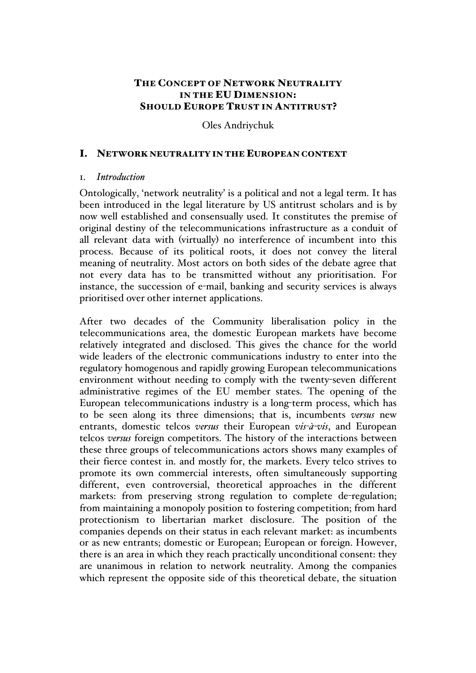# THE CONCEPT OF NETWORK NEUTRALITY IN THE EU DIMENSION: SHOULD EUROPE TRUST IN ANTITRUST?

## Oles Andriychuk

#### I. NETWORK NEUTRALITY IN THE EUROPEAN CONTEXT

## 1. *Introduction*

Ontologically, 'network neutrality' is a political and not a legal term. It has been introduced in the legal literature by US antitrust scholars and is by now well established and consensually used. It constitutes the premise of original destiny of the telecommunications infrastructure as a conduit of all relevant data with (virtually) no interference of incumbent into this process. Because of its political roots, it does not convey the literal meaning of neutrality. Most actors on both sides of the debate agree that not every data has to be transmitted without any prioritisation. For instance, the succession of e-mail, banking and security services is always prioritised over other internet applications.

After two decades of the Community liberalisation policy in the telecommunications area, the domestic European markets have become relatively integrated and disclosed. This gives the chance for the world wide leaders of the electronic communications industry to enter into the regulatory homogenous and rapidly growing European telecommunications environment without needing to comply with the twenty-seven different administrative regimes of the EU member states. The opening of the European telecommunications industry is a long-term process, which has to be seen along its three dimensions; that is, incumbents *versus* new entrants, domestic telcos *versus* their European *vis-à-vis*, and European telcos *versus* foreign competitors. The history of the interactions between these three groups of telecommunications actors shows many examples of their fierce contest in. and mostly for, the markets. Every telco strives to promote its own commercial interests, often simultaneously supporting different, even controversial, theoretical approaches in the different markets: from preserving strong regulation to complete de-regulation; from maintaining a monopoly position to fostering competition; from hard protectionism to libertarian market disclosure. The position of the companies depends on their status in each relevant market: as incumbents or as new entrants; domestic or European; European or foreign. However, there is an area in which they reach practically unconditional consent: they are unanimous in relation to network neutrality. Among the companies which represent the opposite side of this theoretical debate, the situation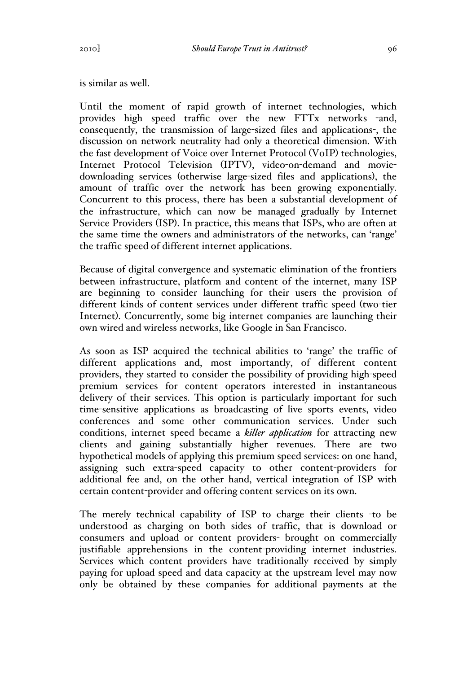is similar as well.

Until the moment of rapid growth of internet technologies, which provides high speed traffic over the new FTTx networks -and, consequently, the transmission of large-sized files and applications-, the discussion on network neutrality had only a theoretical dimension. With the fast development of Voice over Internet Protocol (VoIP) technologies, Internet Protocol Television (IPTV), video-on-demand and moviedownloading services (otherwise large-sized files and applications), the amount of traffic over the network has been growing exponentially. Concurrent to this process, there has been a substantial development of the infrastructure, which can now be managed gradually by Internet Service Providers (ISP). In practice, this means that ISPs, who are often at the same time the owners and administrators of the networks, can 'range' the traffic speed of different internet applications.

Because of digital convergence and systematic elimination of the frontiers between infrastructure, platform and content of the internet, many ISP are beginning to consider launching for their users the provision of different kinds of content services under different traffic speed (two-tier Internet). Concurrently, some big internet companies are launching their own wired and wireless networks, like Google in San Francisco.

As soon as ISP acquired the technical abilities to 'range' the traffic of different applications and, most importantly, of different content providers, they started to consider the possibility of providing high-speed premium services for content operators interested in instantaneous delivery of their services. This option is particularly important for such time-sensitive applications as broadcasting of live sports events, video conferences and some other communication services. Under such conditions, internet speed became a *killer application* for attracting new clients and gaining substantially higher revenues. There are two hypothetical models of applying this premium speed services: on one hand, assigning such extra-speed capacity to other content-providers for additional fee and, on the other hand, vertical integration of ISP with certain content-provider and offering content services on its own.

The merely technical capability of ISP to charge their clients -to be understood as charging on both sides of traffic, that is download or consumers and upload or content providers- brought on commercially justifiable apprehensions in the content-providing internet industries. Services which content providers have traditionally received by simply paying for upload speed and data capacity at the upstream level may now only be obtained by these companies for additional payments at the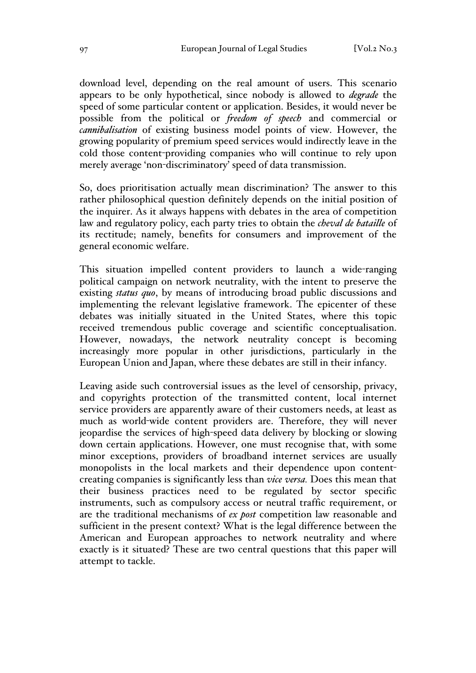download level, depending on the real amount of users. This scenario appears to be only hypothetical, since nobody is allowed to *degrade* the speed of some particular content or application. Besides, it would never be possible from the political or *freedom of speech* and commercial or *cannibalisation* of existing business model points of view. However, the growing popularity of premium speed services would indirectly leave in the cold those content-providing companies who will continue to rely upon merely average 'non-discriminatory' speed of data transmission.

So, does prioritisation actually mean discrimination? The answer to this rather philosophical question definitely depends on the initial position of the inquirer. As it always happens with debates in the area of competition law and regulatory policy, each party tries to obtain the *cheval de bataille* of its rectitude; namely, benefits for consumers and improvement of the general economic welfare.

This situation impelled content providers to launch a wide-ranging political campaign on network neutrality, with the intent to preserve the existing *status quo*, by means of introducing broad public discussions and implementing the relevant legislative framework. The epicenter of these debates was initially situated in the United States, where this topic received tremendous public coverage and scientific conceptualisation. However, nowadays, the network neutrality concept is becoming increasingly more popular in other jurisdictions, particularly in the European Union and Japan, where these debates are still in their infancy.

Leaving aside such controversial issues as the level of censorship, privacy, and copyrights protection of the transmitted content, local internet service providers are apparently aware of their customers needs, at least as much as world-wide content providers are. Therefore, they will never jeopardise the services of high-speed data delivery by blocking or slowing down certain applications. However, one must recognise that, with some minor exceptions, providers of broadband internet services are usually monopolists in the local markets and their dependence upon contentcreating companies is significantly less than *vice versa.* Does this mean that their business practices need to be regulated by sector specific instruments, such as compulsory access or neutral traffic requirement, or are the traditional mechanisms of *ex post* competition law reasonable and sufficient in the present context? What is the legal difference between the American and European approaches to network neutrality and where exactly is it situated? These are two central questions that this paper will attempt to tackle.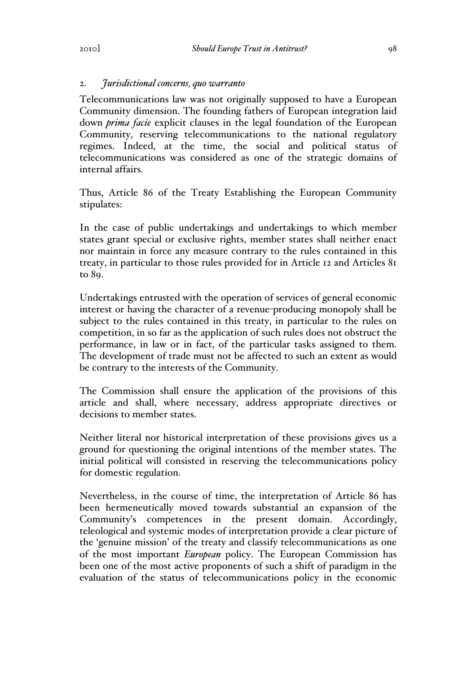# 2. *Jurisdictional concerns, quo warranto*

Telecommunications law was not originally supposed to have a European Community dimension. The founding fathers of European integration laid down *prima facie* explicit clauses in the legal foundation of the European Community, reserving telecommunications to the national regulatory regimes. Indeed, at the time, the social and political status of telecommunications was considered as one of the strategic domains of internal affairs.

Thus, Article 86 of the Treaty Establishing the European Community stipulates:

In the case of public undertakings and undertakings to which member states grant special or exclusive rights, member states shall neither enact nor maintain in force any measure contrary to the rules contained in this treaty, in particular to those rules provided for in Article 12 and Articles 81 to 89.

Undertakings entrusted with the operation of services of general economic interest or having the character of a revenue-producing monopoly shall be subject to the rules contained in this treaty, in particular to the rules on competition, in so far as the application of such rules does not obstruct the performance, in law or in fact, of the particular tasks assigned to them. The development of trade must not be affected to such an extent as would be contrary to the interests of the Community.

The Commission shall ensure the application of the provisions of this article and shall, where necessary, address appropriate directives or decisions to member states.

Neither literal nor historical interpretation of these provisions gives us a ground for questioning the original intentions of the member states. The initial political will consisted in reserving the telecommunications policy for domestic regulation.

Nevertheless, in the course of time, the interpretation of Article 86 has been hermeneutically moved towards substantial an expansion of the Community's competences in the present domain. Accordingly, teleological and systemic modes of interpretation provide a clear picture of the 'genuine mission' of the treaty and classify telecommunications as one of the most important *European* policy. The European Commission has been one of the most active proponents of such a shift of paradigm in the evaluation of the status of telecommunications policy in the economic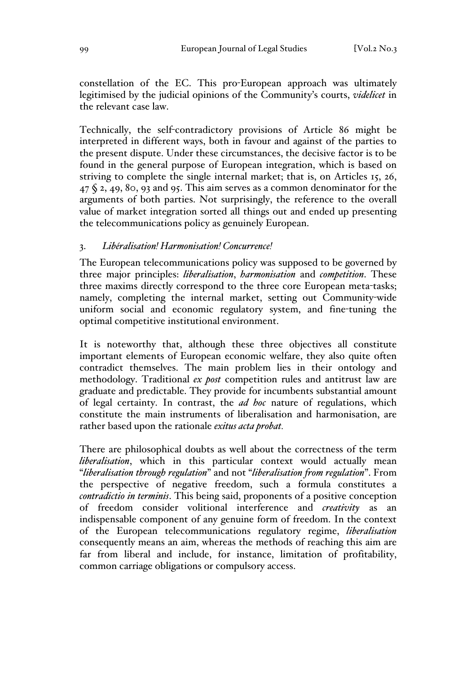constellation of the EC. This pro-European approach was ultimately legitimised by the judicial opinions of the Community's courts, *videlicet* in the relevant case law.

Technically, the self-contradictory provisions of Article 86 might be interpreted in different ways, both in favour and against of the parties to the present dispute. Under these circumstances, the decisive factor is to be found in the general purpose of European integration, which is based on striving to complete the single internal market; that is, on Articles 15, 26,  $47\,$  § 2, 49, 80, 93 and 95. This aim serves as a common denominator for the arguments of both parties. Not surprisingly, the reference to the overall value of market integration sorted all things out and ended up presenting the telecommunications policy as genuinely European.

## 3. *Libéralisation! Harmonisation! Concurrence!*

The European telecommunications policy was supposed to be governed by three major principles: *liberalisation*, *harmonisation* and *competition*. These three maxims directly correspond to the three core European meta-tasks; namely, completing the internal market, setting out Community-wide uniform social and economic regulatory system, and fine-tuning the optimal competitive institutional environment.

It is noteworthy that, although these three objectives all constitute important elements of European economic welfare, they also quite often contradict themselves. The main problem lies in their ontology and methodology. Traditional *ex post* competition rules and antitrust law are graduate and predictable. They provide for incumbents substantial amount of legal certainty. In contrast, the *ad hoc* nature of regulations, which constitute the main instruments of liberalisation and harmonisation, are rather based upon the rationale *exitus acta probat.*

There are philosophical doubts as well about the correctness of the term *liberalisation*, which in this particular context would actually mean "*liberalisation through regulation*" and not "*liberalisation from regulation*". From the perspective of negative freedom, such a formula constitutes a *contradictio in terminis*. This being said, proponents of a positive conception of freedom consider volitional interference and *creativity* as an indispensable component of any genuine form of freedom. In the context of the European telecommunications regulatory regime, *liberalisation*  consequently means an aim, whereas the methods of reaching this aim are far from liberal and include, for instance, limitation of profitability, common carriage obligations or compulsory access.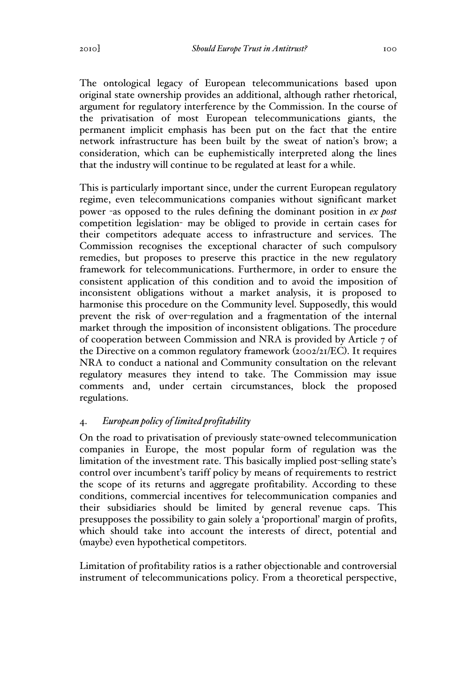The ontological legacy of European telecommunications based upon original state ownership provides an additional, although rather rhetorical, argument for regulatory interference by the Commission. In the course of the privatisation of most European telecommunications giants, the permanent implicit emphasis has been put on the fact that the entire network infrastructure has been built by the sweat of nation's brow; a consideration, which can be euphemistically interpreted along the lines that the industry will continue to be regulated at least for a while.

This is particularly important since, under the current European regulatory regime, even telecommunications companies without significant market power -as opposed to the rules defining the dominant position in *ex post* competition legislation- may be obliged to provide in certain cases for their competitors adequate access to infrastructure and services. The Commission recognises the exceptional character of such compulsory remedies, but proposes to preserve this practice in the new regulatory framework for telecommunications. Furthermore, in order to ensure the consistent application of this condition and to avoid the imposition of inconsistent obligations without a market analysis, it is proposed to harmonise this procedure on the Community level. Supposedly, this would prevent the risk of over-regulation and a fragmentation of the internal market through the imposition of inconsistent obligations. The procedure of cooperation between Commission and NRA is provided by Article 7 of the Directive on a common regulatory framework (2002/21/EC). It requires NRA to conduct a national and Community consultation on the relevant regulatory measures they intend to take. The Commission may issue comments and, under certain circumstances, block the proposed regulations.

## 4. *European policy of limited profitability*

On the road to privatisation of previously state-owned telecommunication companies in Europe, the most popular form of regulation was the limitation of the investment rate. This basically implied post-selling state's control over incumbent's tariff policy by means of requirements to restrict the scope of its returns and aggregate profitability. According to these conditions, commercial incentives for telecommunication companies and their subsidiaries should be limited by general revenue caps. This presupposes the possibility to gain solely a 'proportional' margin of profits, which should take into account the interests of direct, potential and (maybe) even hypothetical competitors.

Limitation of profitability ratios is a rather objectionable and controversial instrument of telecommunications policy. From a theoretical perspective,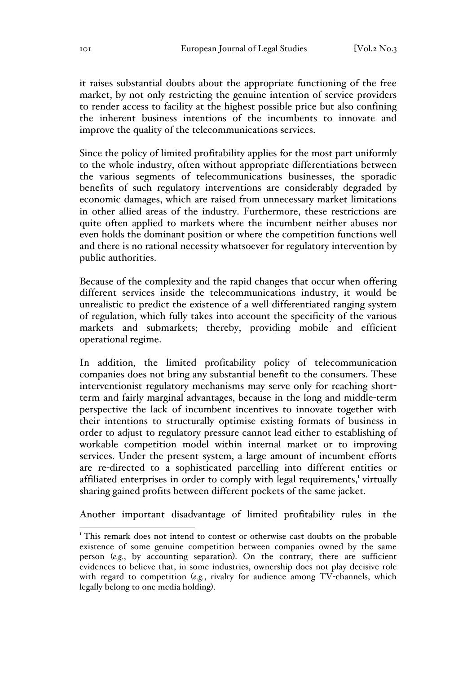it raises substantial doubts about the appropriate functioning of the free market, by not only restricting the genuine intention of service providers to render access to facility at the highest possible price but also confining the inherent business intentions of the incumbents to innovate and improve the quality of the telecommunications services.

Since the policy of limited profitability applies for the most part uniformly to the whole industry, often without appropriate differentiations between the various segments of telecommunications businesses, the sporadic benefits of such regulatory interventions are considerably degraded by economic damages, which are raised from unnecessary market limitations in other allied areas of the industry. Furthermore, these restrictions are quite often applied to markets where the incumbent neither abuses nor even holds the dominant position or where the competition functions well and there is no rational necessity whatsoever for regulatory intervention by public authorities.

Because of the complexity and the rapid changes that occur when offering different services inside the telecommunications industry, it would be unrealistic to predict the existence of a well-differentiated ranging system of regulation, which fully takes into account the specificity of the various markets and submarkets; thereby, providing mobile and efficient operational regime.

In addition, the limited profitability policy of telecommunication companies does not bring any substantial benefit to the consumers. These interventionist regulatory mechanisms may serve only for reaching shortterm and fairly marginal advantages, because in the long and middle-term perspective the lack of incumbent incentives to innovate together with their intentions to structurally optimise existing formats of business in order to adjust to regulatory pressure cannot lead either to establishing of workable competition model within internal market or to improving services. Under the present system, a large amount of incumbent efforts are re-directed to a sophisticated parcelling into different entities or affiliated enterprises in order to comply with legal requirements,<sup>1</sup> virtually sharing gained profits between different pockets of the same jacket.

Another important disadvantage of limited profitability rules in the

<sup>&</sup>lt;sup>1</sup> This remark does not intend to contest or otherwise cast doubts on the probable existence of some genuine competition between companies owned by the same person (*e.g.*, by accounting separation). On the contrary, there are sufficient evidences to believe that, in some industries, ownership does not play decisive role with regard to competition (*e.g.*, rivalry for audience among TV-channels, which legally belong to one media holding).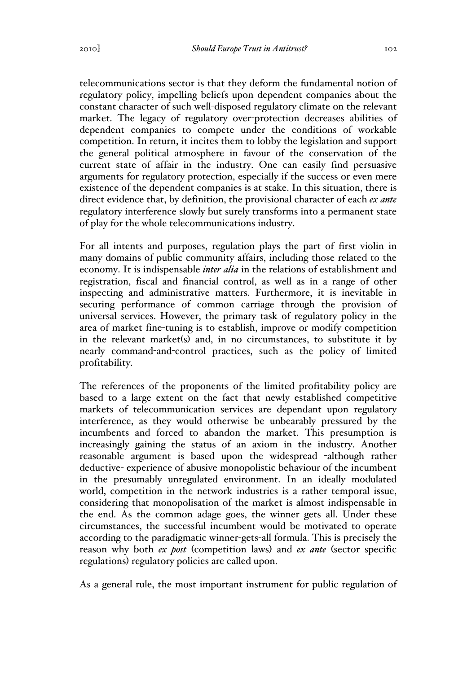telecommunications sector is that they deform the fundamental notion of regulatory policy, impelling beliefs upon dependent companies about the constant character of such well-disposed regulatory climate on the relevant market. The legacy of regulatory over-protection decreases abilities of dependent companies to compete under the conditions of workable competition. In return, it incites them to lobby the legislation and support the general political atmosphere in favour of the conservation of the current state of affair in the industry. One can easily find persuasive arguments for regulatory protection, especially if the success or even mere existence of the dependent companies is at stake. In this situation, there is direct evidence that, by definition, the provisional character of each *ex ante*  regulatory interference slowly but surely transforms into a permanent state of play for the whole telecommunications industry.

For all intents and purposes, regulation plays the part of first violin in many domains of public community affairs, including those related to the economy. It is indispensable *inter alia* in the relations of establishment and registration, fiscal and financial control, as well as in a range of other inspecting and administrative matters. Furthermore, it is inevitable in securing performance of common carriage through the provision of universal services. However, the primary task of regulatory policy in the area of market fine-tuning is to establish, improve or modify competition in the relevant market(s) and, in no circumstances, to substitute it by nearly command-and-control practices, such as the policy of limited profitability.

The references of the proponents of the limited profitability policy are based to a large extent on the fact that newly established competitive markets of telecommunication services are dependant upon regulatory interference, as they would otherwise be unbearably pressured by the incumbents and forced to abandon the market. This presumption is increasingly gaining the status of an axiom in the industry. Another reasonable argument is based upon the widespread -although rather deductive- experience of abusive monopolistic behaviour of the incumbent in the presumably unregulated environment. In an ideally modulated world, competition in the network industries is a rather temporal issue, considering that monopolisation of the market is almost indispensable in the end. As the common adage goes, the winner gets all. Under these circumstances, the successful incumbent would be motivated to operate according to the paradigmatic winner-gets-all formula. This is precisely the reason why both *ex post* (competition laws) and *ex ante* (sector specific regulations) regulatory policies are called upon.

As a general rule, the most important instrument for public regulation of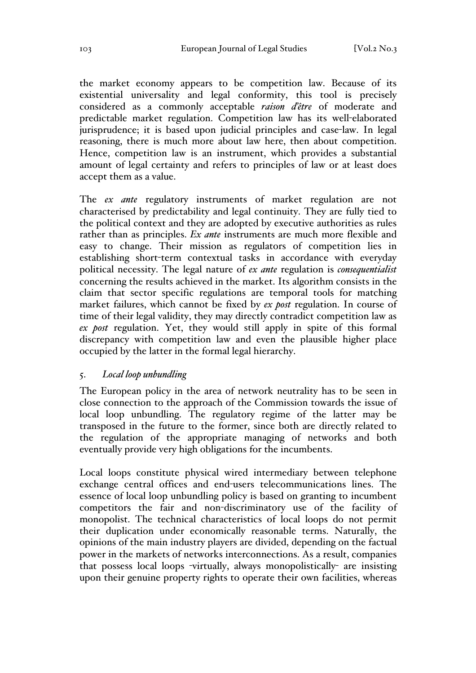the market economy appears to be competition law. Because of its existential universality and legal conformity, this tool is precisely considered as a commonly acceptable *raison d'être* of moderate and predictable market regulation. Competition law has its well-elaborated jurisprudence; it is based upon judicial principles and case-law. In legal reasoning, there is much more about law here, then about competition. Hence, competition law is an instrument, which provides a substantial amount of legal certainty and refers to principles of law or at least does accept them as a value.

The *ex ante* regulatory instruments of market regulation are not characterised by predictability and legal continuity. They are fully tied to the political context and they are adopted by executive authorities as rules rather than as principles. *Ex ante* instruments are much more flexible and easy to change. Their mission as regulators of competition lies in establishing short-term contextual tasks in accordance with everyday political necessity. The legal nature of *ex ante* regulation is *consequentialist* concerning the results achieved in the market. Its algorithm consists in the claim that sector specific regulations are temporal tools for matching market failures, which cannot be fixed by *ex post* regulation. In course of time of their legal validity, they may directly contradict competition law as *ex post* regulation. Yet, they would still apply in spite of this formal discrepancy with competition law and even the plausible higher place occupied by the latter in the formal legal hierarchy.

#### 5. *Local loop unbundling*

The European policy in the area of network neutrality has to be seen in close connection to the approach of the Commission towards the issue of local loop unbundling. The regulatory regime of the latter may be transposed in the future to the former, since both are directly related to the regulation of the appropriate managing of networks and both eventually provide very high obligations for the incumbents.

Local loops constitute physical wired intermediary between telephone exchange central offices and end-users telecommunications lines. The essence of local loop unbundling policy is based on granting to incumbent competitors the fair and non-discriminatory use of the facility of monopolist. The technical characteristics of local loops do not permit their duplication under economically reasonable terms. Naturally, the opinions of the main industry players are divided, depending on the factual power in the markets of networks interconnections. As a result, companies that possess local loops -virtually, always monopolistically- are insisting upon their genuine property rights to operate their own facilities, whereas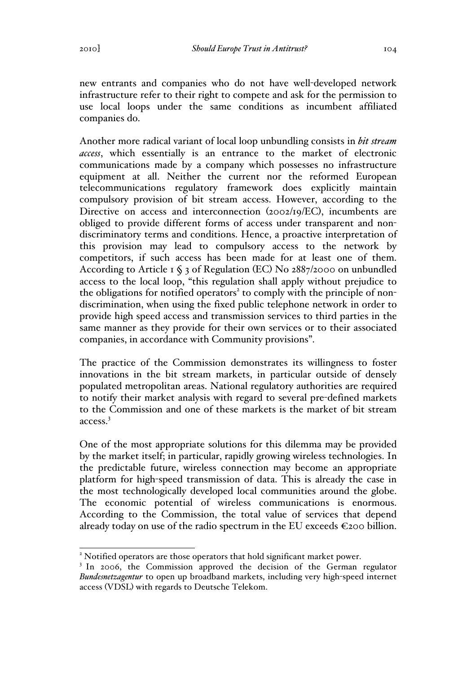new entrants and companies who do not have well-developed network infrastructure refer to their right to compete and ask for the permission to use local loops under the same conditions as incumbent affiliated companies do.

Another more radical variant of local loop unbundling consists in *bit stream access*, which essentially is an entrance to the market of electronic communications made by a company which possesses no infrastructure equipment at all. Neither the current nor the reformed European telecommunications regulatory framework does explicitly maintain compulsory provision of bit stream access. However, according to the Directive on access and interconnection (2002/19/EC), incumbents are obliged to provide different forms of access under transparent and nondiscriminatory terms and conditions. Hence, a proactive interpretation of this provision may lead to compulsory access to the network by competitors, if such access has been made for at least one of them. According to Article 1 § 3 of Regulation (EC) No 2887/2000 on unbundled access to the local loop, "this regulation shall apply without prejudice to the obligations for notified operators<sup>2</sup> to comply with the principle of nondiscrimination, when using the fixed public telephone network in order to provide high speed access and transmission services to third parties in the same manner as they provide for their own services or to their associated companies, in accordance with Community provisions".

The practice of the Commission demonstrates its willingness to foster innovations in the bit stream markets, in particular outside of densely populated metropolitan areas. National regulatory authorities are required to notify their market analysis with regard to several pre-defined markets to the Commission and one of these markets is the market of bit stream access.3

One of the most appropriate solutions for this dilemma may be provided by the market itself; in particular, rapidly growing wireless technologies. In the predictable future, wireless connection may become an appropriate platform for high-speed transmission of data. This is already the case in the most technologically developed local communities around the globe. The economic potential of wireless communications is enormous. According to the Commission, the total value of services that depend already today on use of the radio spectrum in the EU exceeds  $\epsilon$ 200 billion.

<sup>&</sup>lt;sup>2</sup> Notified operators are those operators that hold significant market power.

<sup>&</sup>lt;sup>3</sup> In 2006, the Commission approved the decision of the German regulator *Bundesnetzagentur* to open up broadband markets, including very high-speed internet access (VDSL) with regards to Deutsche Telekom.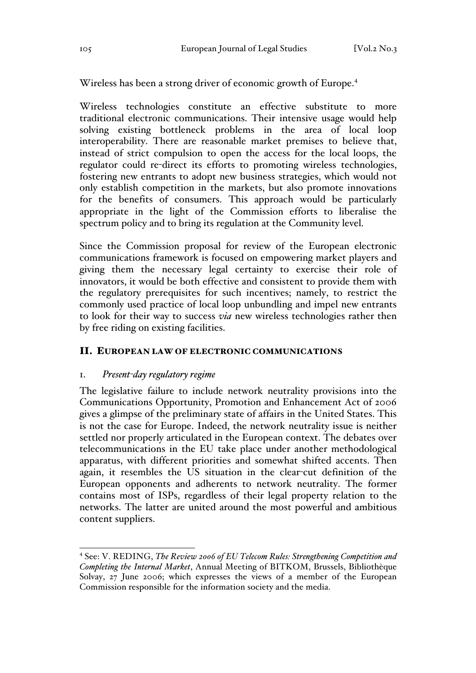Wireless has been a strong driver of economic growth of Europe.4

Wireless technologies constitute an effective substitute to more traditional electronic communications. Their intensive usage would help solving existing bottleneck problems in the area of local loop interoperability. There are reasonable market premises to believe that, instead of strict compulsion to open the access for the local loops, the regulator could re-direct its efforts to promoting wireless technologies, fostering new entrants to adopt new business strategies, which would not only establish competition in the markets, but also promote innovations for the benefits of consumers. This approach would be particularly appropriate in the light of the Commission efforts to liberalise the spectrum policy and to bring its regulation at the Community level.

Since the Commission proposal for review of the European electronic communications framework is focused on empowering market players and giving them the necessary legal certainty to exercise their role of innovators, it would be both effective and consistent to provide them with the regulatory prerequisites for such incentives; namely, to restrict the commonly used practice of local loop unbundling and impel new entrants to look for their way to success *via* new wireless technologies rather then by free riding on existing facilities.

## II. EUROPEAN LAW OF ELECTRONIC COMMUNICATIONS

## 1. *Present-day regulatory regime*

The legislative failure to include network neutrality provisions into the Communications Opportunity, Promotion and Enhancement Act of 2006 gives a glimpse of the preliminary state of affairs in the United States. This is not the case for Europe. Indeed, the network neutrality issue is neither settled nor properly articulated in the European context. The debates over telecommunications in the EU take place under another methodological apparatus, with different priorities and somewhat shifted accents. Then again, it resembles the US situation in the clear-cut definition of the European opponents and adherents to network neutrality. The former contains most of ISPs, regardless of their legal property relation to the networks. The latter are united around the most powerful and ambitious content suppliers.

 <sup>4</sup> See: V. REDING, *The Review 2006 of EU Telecom Rules: Strengthening Competition and Completing the Internal Market*, Annual Meeting of BITKOM, Brussels, Bibliothèque Solvay, 27 June 2006; which expresses the views of a member of the European Commission responsible for the information society and the media.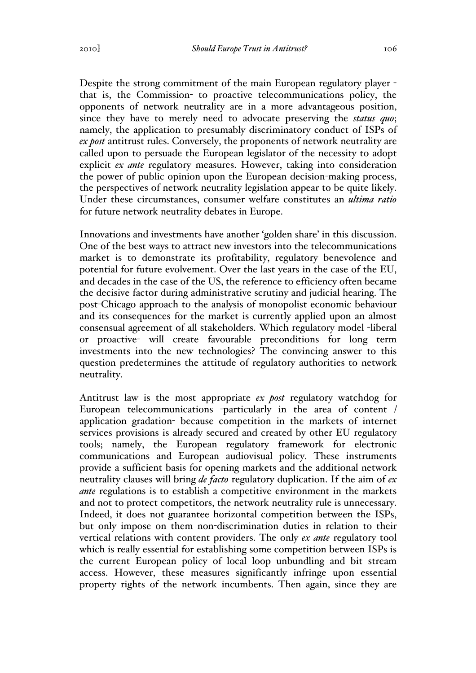Despite the strong commitment of the main European regulatory player that is, the Commission- to proactive telecommunications policy, the opponents of network neutrality are in a more advantageous position, since they have to merely need to advocate preserving the *status quo*; namely, the application to presumably discriminatory conduct of ISPs of *ex post* antitrust rules. Conversely, the proponents of network neutrality are called upon to persuade the European legislator of the necessity to adopt explicit *ex ante* regulatory measures. However, taking into consideration the power of public opinion upon the European decision-making process, the perspectives of network neutrality legislation appear to be quite likely. Under these circumstances, consumer welfare constitutes an *ultima ratio* for future network neutrality debates in Europe.

Innovations and investments have another 'golden share' in this discussion. One of the best ways to attract new investors into the telecommunications market is to demonstrate its profitability, regulatory benevolence and potential for future evolvement. Over the last years in the case of the EU, and decades in the case of the US, the reference to efficiency often became the decisive factor during administrative scrutiny and judicial hearing. The post-Chicago approach to the analysis of monopolist economic behaviour and its consequences for the market is currently applied upon an almost consensual agreement of all stakeholders. Which regulatory model -liberal or proactive- will create favourable preconditions for long term investments into the new technologies? The convincing answer to this question predetermines the attitude of regulatory authorities to network neutrality.

Antitrust law is the most appropriate *ex post* regulatory watchdog for European telecommunications -particularly in the area of content / application gradation- because competition in the markets of internet services provisions is already secured and created by other EU regulatory tools; namely, the European regulatory framework for electronic communications and European audiovisual policy. These instruments provide a sufficient basis for opening markets and the additional network neutrality clauses will bring *de facto* regulatory duplication. If the aim of *ex ante* regulations is to establish a competitive environment in the markets and not to protect competitors, the network neutrality rule is unnecessary. Indeed, it does not guarantee horizontal competition between the ISPs, but only impose on them non-discrimination duties in relation to their vertical relations with content providers. The only *ex ante* regulatory tool which is really essential for establishing some competition between ISPs is the current European policy of local loop unbundling and bit stream access. However, these measures significantly infringe upon essential property rights of the network incumbents. Then again, since they are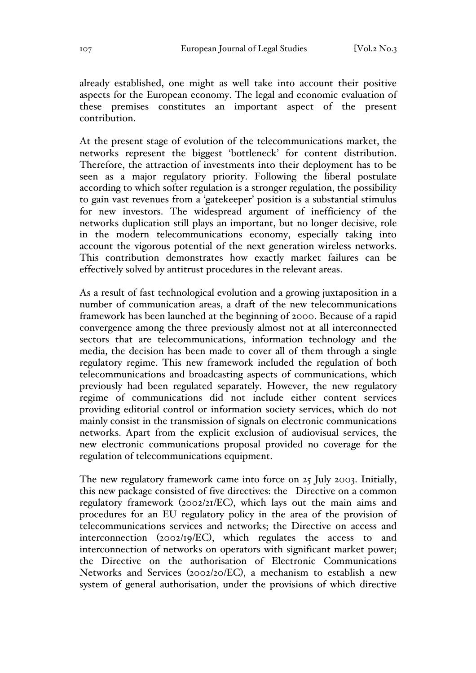already established, one might as well take into account their positive aspects for the European economy. The legal and economic evaluation of these premises constitutes an important aspect of the present contribution.

At the present stage of evolution of the telecommunications market, the networks represent the biggest 'bottleneck' for content distribution. Therefore, the attraction of investments into their deployment has to be seen as a major regulatory priority. Following the liberal postulate according to which softer regulation is a stronger regulation, the possibility to gain vast revenues from a 'gatekeeper' position is a substantial stimulus for new investors. The widespread argument of inefficiency of the networks duplication still plays an important, but no longer decisive, role in the modern telecommunications economy, especially taking into account the vigorous potential of the next generation wireless networks. This contribution demonstrates how exactly market failures can be effectively solved by antitrust procedures in the relevant areas.

As a result of fast technological evolution and a growing juxtaposition in a number of communication areas, a draft of the new telecommunications framework has been launched at the beginning of 2000. Because of a rapid convergence among the three previously almost not at all interconnected sectors that are telecommunications, information technology and the media, the decision has been made to cover all of them through a single regulatory regime. This new framework included the regulation of both telecommunications and broadcasting aspects of communications, which previously had been regulated separately. However, the new regulatory regime of communications did not include either content services providing editorial control or information society services, which do not mainly consist in the transmission of signals on electronic communications networks. Apart from the explicit exclusion of audiovisual services, the new electronic communications proposal provided no coverage for the regulation of telecommunications equipment.

The new regulatory framework came into force on 25 July 2003. Initially, this new package consisted of five directives: the Directive on a common regulatory framework (2002/21/EC), which lays out the main aims and procedures for an EU regulatory policy in the area of the provision of telecommunications services and networks; the Directive on access and interconnection (2002/19/EC), which regulates the access to and interconnection of networks on operators with significant market power; the Directive on the authorisation of Electronic Communications Networks and Services (2002/20/EC), a mechanism to establish a new system of general authorisation, under the provisions of which directive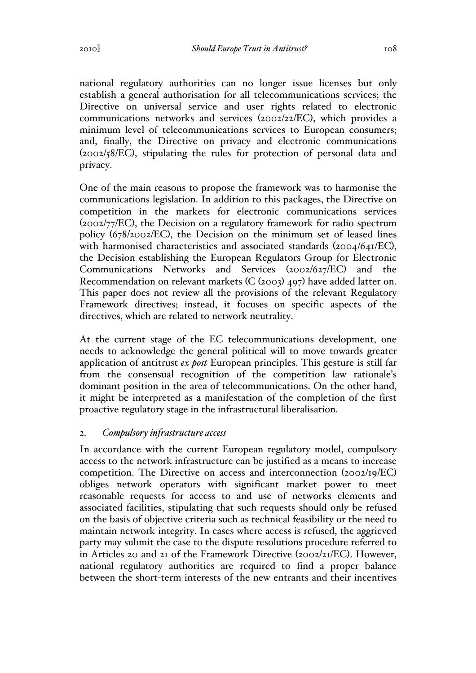national regulatory authorities can no longer issue licenses but only establish a general authorisation for all telecommunications services; the Directive on universal service and user rights related to electronic communications networks and services (2002/22/EC), which provides a minimum level of telecommunications services to European consumers; and, finally, the Directive on privacy and electronic communications (2002/58/EC), stipulating the rules for protection of personal data and privacy.

One of the main reasons to propose the framework was to harmonise the communications legislation. In addition to this packages, the Directive on competition in the markets for electronic communications services (2002/77/EC), the Decision on a regulatory framework for radio spectrum policy (678/2002/EC), the Decision on the minimum set of leased lines with harmonised characteristics and associated standards (2004/641/EC), the Decision establishing the European Regulators Group for Electronic Communications Networks and Services (2002/627/EC) and the Recommendation on relevant markets (C (2003) 497) have added latter on. This paper does not review all the provisions of the relevant Regulatory Framework directives; instead, it focuses on specific aspects of the directives, which are related to network neutrality.

At the current stage of the EC telecommunications development, one needs to acknowledge the general political will to move towards greater application of antitrust *ex post* European principles. This gesture is still far from the consensual recognition of the competition law rationale's dominant position in the area of telecommunications. On the other hand, it might be interpreted as a manifestation of the completion of the first proactive regulatory stage in the infrastructural liberalisation.

## 2. *Compulsory infrastructure access*

In accordance with the current European regulatory model, compulsory access to the network infrastructure can be justified as a means to increase competition. The Directive on access and interconnection (2002/19/EC) obliges network operators with significant market power to meet reasonable requests for access to and use of networks elements and associated facilities, stipulating that such requests should only be refused on the basis of objective criteria such as technical feasibility or the need to maintain network integrity. In cases where access is refused, the aggrieved party may submit the case to the dispute resolutions procedure referred to in Articles 20 and 21 of the Framework Directive (2002/21/EC). However, national regulatory authorities are required to find a proper balance between the short-term interests of the new entrants and their incentives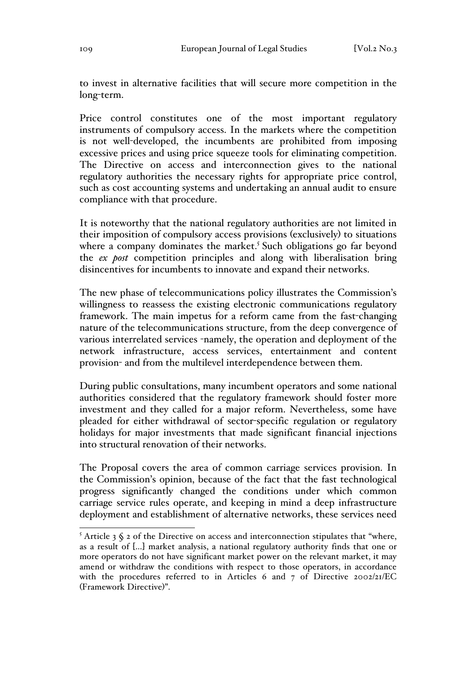to invest in alternative facilities that will secure more competition in the long-term.

Price control constitutes one of the most important regulatory instruments of compulsory access. In the markets where the competition is not well-developed, the incumbents are prohibited from imposing excessive prices and using price squeeze tools for eliminating competition. The Directive on access and interconnection gives to the national regulatory authorities the necessary rights for appropriate price control, such as cost accounting systems and undertaking an annual audit to ensure compliance with that procedure.

It is noteworthy that the national regulatory authorities are not limited in their imposition of compulsory access provisions (exclusively) to situations where a company dominates the market.<sup>5</sup> Such obligations go far beyond the *ex post* competition principles and along with liberalisation bring disincentives for incumbents to innovate and expand their networks.

The new phase of telecommunications policy illustrates the Commission's willingness to reassess the existing electronic communications regulatory framework. The main impetus for a reform came from the fast-changing nature of the telecommunications structure, from the deep convergence of various interrelated services -namely, the operation and deployment of the network infrastructure, access services, entertainment and content provision- and from the multilevel interdependence between them.

During public consultations, many incumbent operators and some national authorities considered that the regulatory framework should foster more investment and they called for a major reform. Nevertheless, some have pleaded for either withdrawal of sector-specific regulation or regulatory holidays for major investments that made significant financial injections into structural renovation of their networks.

The Proposal covers the area of common carriage services provision. In the Commission's opinion, because of the fact that the fast technological progress significantly changed the conditions under which common carriage service rules operate, and keeping in mind a deep infrastructure deployment and establishment of alternative networks, these services need

 $5$  Article 3  $\zeta$  2 of the Directive on access and interconnection stipulates that "where, as a result of [...] market analysis, a national regulatory authority finds that one or more operators do not have significant market power on the relevant market, it may amend or withdraw the conditions with respect to those operators, in accordance with the procedures referred to in Articles 6 and 7 of Directive 2002/21/EC (Framework Directive)".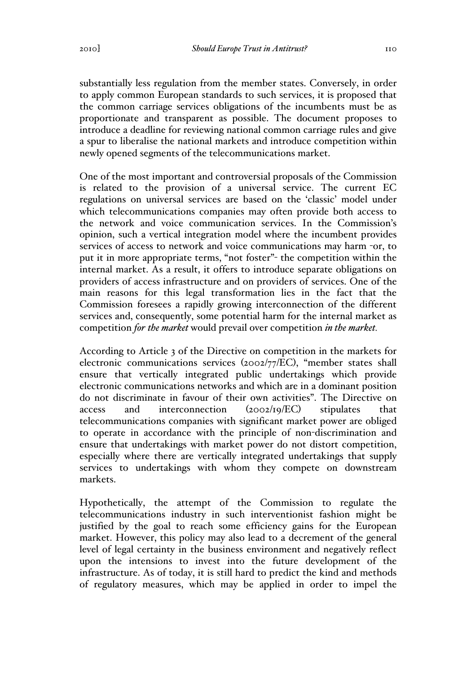substantially less regulation from the member states. Conversely, in order to apply common European standards to such services, it is proposed that the common carriage services obligations of the incumbents must be as proportionate and transparent as possible. The document proposes to introduce a deadline for reviewing national common carriage rules and give a spur to liberalise the national markets and introduce competition within newly opened segments of the telecommunications market.

One of the most important and controversial proposals of the Commission is related to the provision of a universal service. The current EC regulations on universal services are based on the 'classic' model under which telecommunications companies may often provide both access to the network and voice communication services. In the Commission's opinion, such a vertical integration model where the incumbent provides services of access to network and voice communications may harm -or, to put it in more appropriate terms, "not foster"- the competition within the internal market. As a result, it offers to introduce separate obligations on providers of access infrastructure and on providers of services. One of the main reasons for this legal transformation lies in the fact that the Commission foresees a rapidly growing interconnection of the different services and, consequently, some potential harm for the internal market as competition *for the market* would prevail over competition *in the market.* 

According to Article 3 of the Directive on competition in the markets for electronic communications services (2002/77/EC), "member states shall ensure that vertically integrated public undertakings which provide electronic communications networks and which are in a dominant position do not discriminate in favour of their own activities". The Directive on access and interconnection (2002/19/EC) stipulates that telecommunications companies with significant market power are obliged to operate in accordance with the principle of non-discrimination and ensure that undertakings with market power do not distort competition, especially where there are vertically integrated undertakings that supply services to undertakings with whom they compete on downstream markets.

Hypothetically, the attempt of the Commission to regulate the telecommunications industry in such interventionist fashion might be justified by the goal to reach some efficiency gains for the European market. However, this policy may also lead to a decrement of the general level of legal certainty in the business environment and negatively reflect upon the intensions to invest into the future development of the infrastructure. As of today, it is still hard to predict the kind and methods of regulatory measures, which may be applied in order to impel the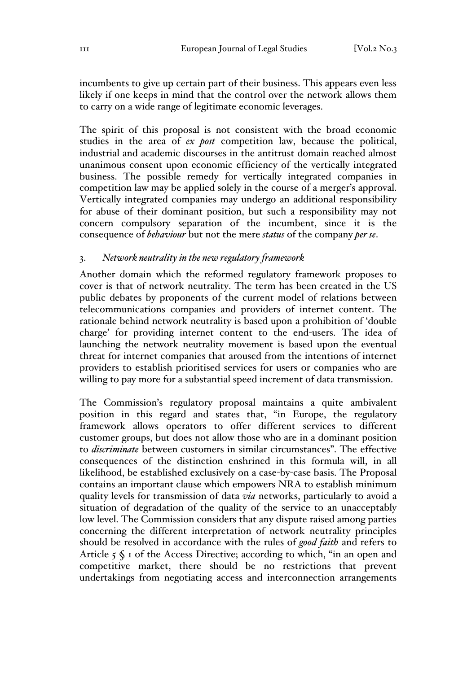incumbents to give up certain part of their business. This appears even less likely if one keeps in mind that the control over the network allows them to carry on a wide range of legitimate economic leverages.

The spirit of this proposal is not consistent with the broad economic studies in the area of *ex post* competition law, because the political, industrial and academic discourses in the antitrust domain reached almost unanimous consent upon economic efficiency of the vertically integrated business. The possible remedy for vertically integrated companies in competition law may be applied solely in the course of a merger's approval. Vertically integrated companies may undergo an additional responsibility for abuse of their dominant position, but such a responsibility may not concern compulsory separation of the incumbent, since it is the consequence of *behaviour* but not the mere *status* of the company *per se*.

## 3. *Network neutrality in the new regulatory framework*

Another domain which the reformed regulatory framework proposes to cover is that of network neutrality. The term has been created in the US public debates by proponents of the current model of relations between telecommunications companies and providers of internet content. The rationale behind network neutrality is based upon a prohibition of 'double charge' for providing internet content to the end-users. The idea of launching the network neutrality movement is based upon the eventual threat for internet companies that aroused from the intentions of internet providers to establish prioritised services for users or companies who are willing to pay more for a substantial speed increment of data transmission.

The Commission's regulatory proposal maintains a quite ambivalent position in this regard and states that, "in Europe, the regulatory framework allows operators to offer different services to different customer groups, but does not allow those who are in a dominant position to *discriminate* between customers in similar circumstances". The effective consequences of the distinction enshrined in this formula will, in all likelihood, be established exclusively on a case-by-case basis. The Proposal contains an important clause which empowers NRA to establish minimum quality levels for transmission of data *via* networks, particularly to avoid a situation of degradation of the quality of the service to an unacceptably low level. The Commission considers that any dispute raised among parties concerning the different interpretation of network neutrality principles should be resolved in accordance with the rules of *good faith* and refers to Article  $5 \text{ }\$$  1 of the Access Directive; according to which, "in an open and competitive market, there should be no restrictions that prevent undertakings from negotiating access and interconnection arrangements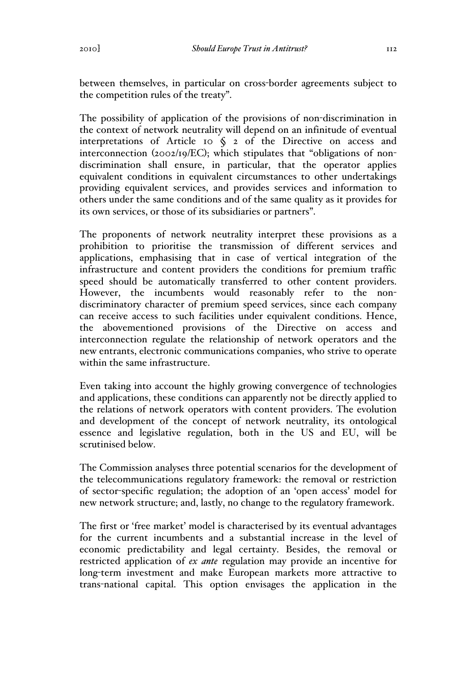The possibility of application of the provisions of non-discrimination in the context of network neutrality will depend on an infinitude of eventual interpretations of Article 10  $\zeta$  2 of the Directive on access and interconnection (2002/19/EC); which stipulates that "obligations of nondiscrimination shall ensure, in particular, that the operator applies equivalent conditions in equivalent circumstances to other undertakings providing equivalent services, and provides services and information to others under the same conditions and of the same quality as it provides for its own services, or those of its subsidiaries or partners".

The proponents of network neutrality interpret these provisions as a prohibition to prioritise the transmission of different services and applications, emphasising that in case of vertical integration of the infrastructure and content providers the conditions for premium traffic speed should be automatically transferred to other content providers. However, the incumbents would reasonably refer to the nondiscriminatory character of premium speed services, since each company can receive access to such facilities under equivalent conditions. Hence, the abovementioned provisions of the Directive on access and interconnection regulate the relationship of network operators and the new entrants, electronic communications companies, who strive to operate within the same infrastructure.

Even taking into account the highly growing convergence of technologies and applications, these conditions can apparently not be directly applied to the relations of network operators with content providers. The evolution and development of the concept of network neutrality, its ontological essence and legislative regulation, both in the US and EU, will be scrutinised below.

The Commission analyses three potential scenarios for the development of the telecommunications regulatory framework: the removal or restriction of sector-specific regulation; the adoption of an 'open access' model for new network structure; and, lastly, no change to the regulatory framework.

The first or 'free market' model is characterised by its eventual advantages for the current incumbents and a substantial increase in the level of economic predictability and legal certainty. Besides, the removal or restricted application of *ex ante* regulation may provide an incentive for long-term investment and make European markets more attractive to trans-national capital. This option envisages the application in the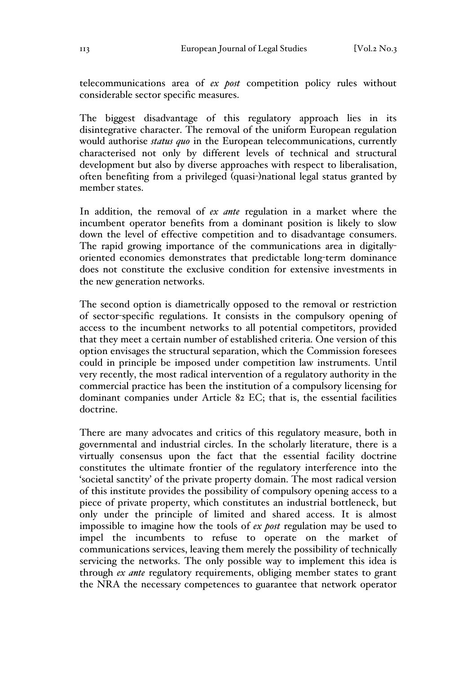telecommunications area of *ex post* competition policy rules without considerable sector specific measures.

The biggest disadvantage of this regulatory approach lies in its disintegrative character. The removal of the uniform European regulation would authorise *status quo* in the European telecommunications, currently characterised not only by different levels of technical and structural development but also by diverse approaches with respect to liberalisation, often benefiting from a privileged (quasi-)national legal status granted by member states.

In addition, the removal of *ex ante* regulation in a market where the incumbent operator benefits from a dominant position is likely to slow down the level of effective competition and to disadvantage consumers. The rapid growing importance of the communications area in digitallyoriented economies demonstrates that predictable long-term dominance does not constitute the exclusive condition for extensive investments in the new generation networks.

The second option is diametrically opposed to the removal or restriction of sector-specific regulations. It consists in the compulsory opening of access to the incumbent networks to all potential competitors, provided that they meet a certain number of established criteria. One version of this option envisages the structural separation, which the Commission foresees could in principle be imposed under competition law instruments. Until very recently, the most radical intervention of a regulatory authority in the commercial practice has been the institution of a compulsory licensing for dominant companies under Article 82 EC; that is, the essential facilities doctrine.

There are many advocates and critics of this regulatory measure, both in governmental and industrial circles. In the scholarly literature, there is a virtually consensus upon the fact that the essential facility doctrine constitutes the ultimate frontier of the regulatory interference into the 'societal sanctity' of the private property domain. The most radical version of this institute provides the possibility of compulsory opening access to a piece of private property, which constitutes an industrial bottleneck, but only under the principle of limited and shared access. It is almost impossible to imagine how the tools of *ex post* regulation may be used to impel the incumbents to refuse to operate on the market of communications services, leaving them merely the possibility of technically servicing the networks. The only possible way to implement this idea is through *ex ante* regulatory requirements, obliging member states to grant the NRA the necessary competences to guarantee that network operator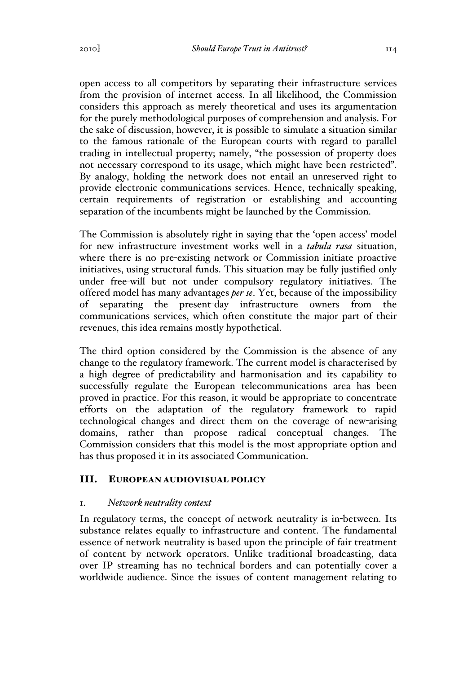open access to all competitors by separating their infrastructure services from the provision of internet access. In all likelihood, the Commission considers this approach as merely theoretical and uses its argumentation for the purely methodological purposes of comprehension and analysis. For the sake of discussion, however, it is possible to simulate a situation similar to the famous rationale of the European courts with regard to parallel trading in intellectual property; namely, "the possession of property does not necessary correspond to its usage, which might have been restricted". By analogy, holding the network does not entail an unreserved right to provide electronic communications services. Hence, technically speaking, certain requirements of registration or establishing and accounting separation of the incumbents might be launched by the Commission.

The Commission is absolutely right in saying that the 'open access' model for new infrastructure investment works well in a *tabula rasa* situation, where there is no pre-existing network or Commission initiate proactive initiatives, using structural funds. This situation may be fully justified only under free-will but not under compulsory regulatory initiatives. The offered model has many advantages *per se*. Yet, because of the impossibility of separating the present-day infrastructure owners from the communications services, which often constitute the major part of their revenues, this idea remains mostly hypothetical.

The third option considered by the Commission is the absence of any change to the regulatory framework. The current model is characterised by a high degree of predictability and harmonisation and its capability to successfully regulate the European telecommunications area has been proved in practice. For this reason, it would be appropriate to concentrate efforts on the adaptation of the regulatory framework to rapid technological changes and direct them on the coverage of new-arising domains, rather than propose radical conceptual changes. The Commission considers that this model is the most appropriate option and has thus proposed it in its associated Communication.

# III. EUROPEAN AUDIOVISUAL POLICY

## 1. *Network neutrality context*

In regulatory terms, the concept of network neutrality is in-between. Its substance relates equally to infrastructure and content. The fundamental essence of network neutrality is based upon the principle of fair treatment of content by network operators. Unlike traditional broadcasting, data over IP streaming has no technical borders and can potentially cover a worldwide audience. Since the issues of content management relating to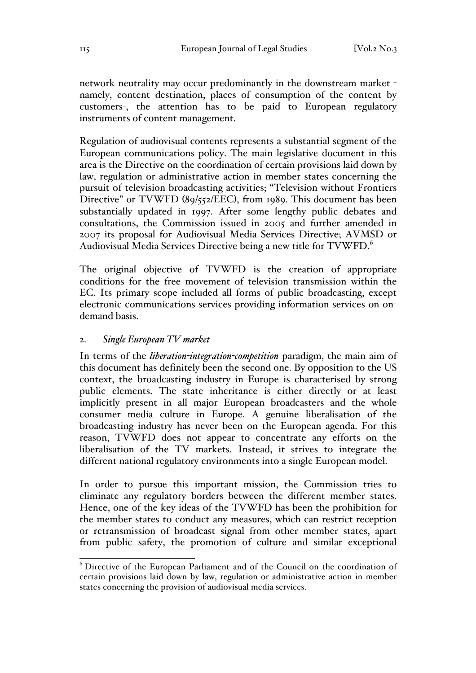network neutrality may occur predominantly in the downstream market namely, content destination, places of consumption of the content by customers-, the attention has to be paid to European regulatory instruments of content management.

Regulation of audiovisual contents represents a substantial segment of the European communications policy. The main legislative document in this area is the Directive on the coordination of certain provisions laid down by law, regulation or administrative action in member states concerning the pursuit of television broadcasting activities; "Television without Frontiers Directive" or TVWFD (89/552/EEC), from 1989. This document has been substantially updated in 1997. After some lengthy public debates and consultations, the Commission issued in 2005 and further amended in 2007 its proposal for Audiovisual Media Services Directive; AVMSD or Audiovisual Media Services Directive being a new title for TVWFD.<sup>6</sup>

The original objective of TVWFD is the creation of appropriate conditions for the free movement of television transmission within the EC. Its primary scope included all forms of public broadcasting, except electronic communications services providing information services on ondemand basis.

#### 2. *Single European TV market*

In terms of the *liberation-integration-competition* paradigm, the main aim of this document has definitely been the second one. By opposition to the US context, the broadcasting industry in Europe is characterised by strong public elements. The state inheritance is either directly or at least implicitly present in all major European broadcasters and the whole consumer media culture in Europe. A genuine liberalisation of the broadcasting industry has never been on the European agenda. For this reason, TVWFD does not appear to concentrate any efforts on the liberalisation of the TV markets. Instead, it strives to integrate the different national regulatory environments into a single European model.

In order to pursue this important mission, the Commission tries to eliminate any regulatory borders between the different member states. Hence, one of the key ideas of the TVWFD has been the prohibition for the member states to conduct any measures, which can restrict reception or retransmission of broadcast signal from other member states, apart from public safety, the promotion of culture and similar exceptional

 <sup>6</sup> Directive of the European Parliament and of the Council on the coordination of certain provisions laid down by law, regulation or administrative action in member states concerning the provision of audiovisual media services.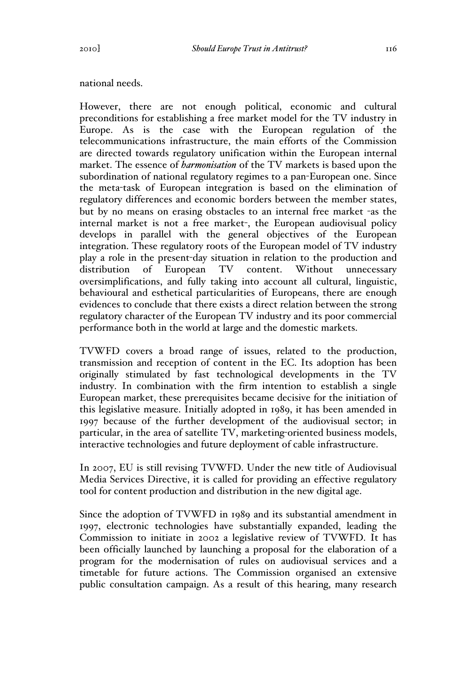#### national needs.

However, there are not enough political, economic and cultural preconditions for establishing a free market model for the TV industry in Europe. As is the case with the European regulation of the telecommunications infrastructure, the main efforts of the Commission are directed towards regulatory unification within the European internal market. The essence of *harmonisation* of the TV markets is based upon the subordination of national regulatory regimes to a pan-European one. Since the meta-task of European integration is based on the elimination of regulatory differences and economic borders between the member states, but by no means on erasing obstacles to an internal free market -as the internal market is not a free market-, the European audiovisual policy develops in parallel with the general objectives of the European integration. These regulatory roots of the European model of TV industry play a role in the present-day situation in relation to the production and distribution of European TV content. Without unnecessary oversimplifications, and fully taking into account all cultural, linguistic, behavioural and esthetical particularities of Europeans, there are enough evidences to conclude that there exists a direct relation between the strong regulatory character of the European TV industry and its poor commercial performance both in the world at large and the domestic markets.

TVWFD covers a broad range of issues, related to the production, transmission and reception of content in the EC. Its adoption has been originally stimulated by fast technological developments in the TV industry. In combination with the firm intention to establish a single European market, these prerequisites became decisive for the initiation of this legislative measure. Initially adopted in 1989, it has been amended in 1997 because of the further development of the audiovisual sector; in particular, in the area of satellite TV, marketing-oriented business models, interactive technologies and future deployment of cable infrastructure.

In 2007, EU is still revising TVWFD. Under the new title of Audiovisual Media Services Directive, it is called for providing an effective regulatory tool for content production and distribution in the new digital age.

Since the adoption of TVWFD in 1989 and its substantial amendment in 1997, electronic technologies have substantially expanded, leading the Commission to initiate in 2002 a legislative review of TVWFD. It has been officially launched by launching a proposal for the elaboration of a program for the modernisation of rules on audiovisual services and a timetable for future actions. The Commission organised an extensive public consultation campaign. As a result of this hearing, many research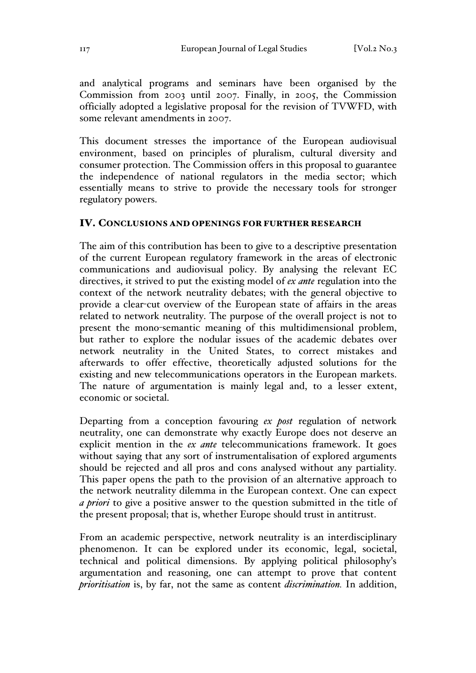and analytical programs and seminars have been organised by the Commission from 2003 until 2007. Finally, in 2005, the Commission officially adopted a legislative proposal for the revision of TVWFD, with some relevant amendments in 2007.

This document stresses the importance of the European audiovisual environment, based on principles of pluralism, cultural diversity and consumer protection. The Commission offers in this proposal to guarantee the independence of national regulators in the media sector; which essentially means to strive to provide the necessary tools for stronger regulatory powers.

#### IV. CONCLUSIONS AND OPENINGS FOR FURTHER RESEARCH

The aim of this contribution has been to give to a descriptive presentation of the current European regulatory framework in the areas of electronic communications and audiovisual policy. By analysing the relevant EC directives, it strived to put the existing model of *ex ante* regulation into the context of the network neutrality debates; with the general objective to provide a clear-cut overview of the European state of affairs in the areas related to network neutrality. The purpose of the overall project is not to present the mono-semantic meaning of this multidimensional problem, but rather to explore the nodular issues of the academic debates over network neutrality in the United States, to correct mistakes and afterwards to offer effective, theoretically adjusted solutions for the existing and new telecommunications operators in the European markets. The nature of argumentation is mainly legal and, to a lesser extent, economic or societal.

Departing from a conception favouring *ex post* regulation of network neutrality, one can demonstrate why exactly Europe does not deserve an explicit mention in the *ex ante* telecommunications framework. It goes without saying that any sort of instrumentalisation of explored arguments should be rejected and all pros and cons analysed without any partiality. This paper opens the path to the provision of an alternative approach to the network neutrality dilemma in the European context. One can expect *a priori* to give a positive answer to the question submitted in the title of the present proposal; that is, whether Europe should trust in antitrust.

From an academic perspective, network neutrality is an interdisciplinary phenomenon. It can be explored under its economic, legal, societal, technical and political dimensions. By applying political philosophy's argumentation and reasoning, one can attempt to prove that content *prioritisation* is, by far, not the same as content *discrimination.* In addition,